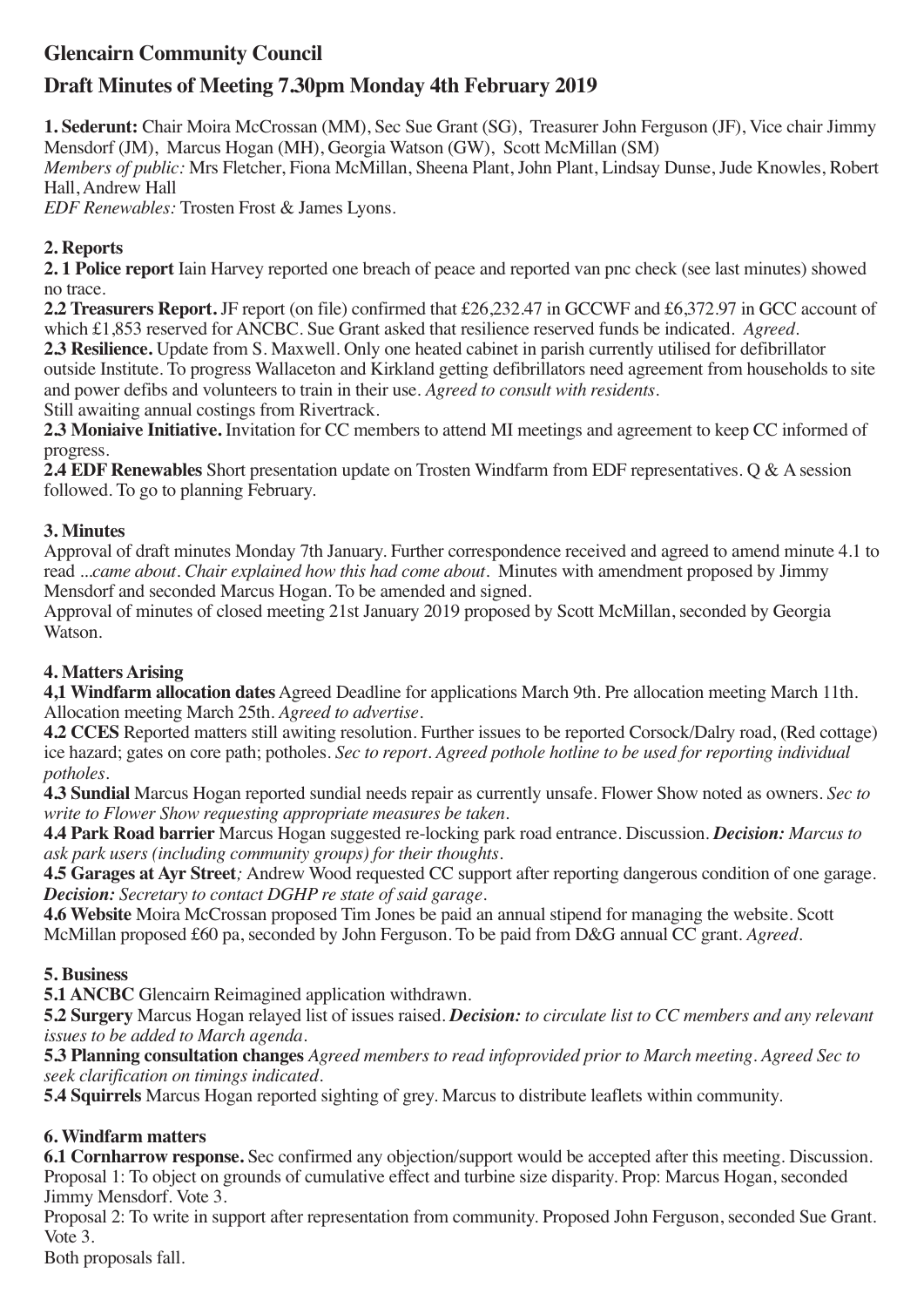# **Glencairn Community Council**

## **Draft Minutes of Meeting 7.30pm Monday 4th February 2019**

**1. Sederunt:** Chair Moira McCrossan (MM), Sec Sue Grant (SG), Treasurer John Ferguson (JF), Vice chair Jimmy Mensdorf (JM), Marcus Hogan (MH), Georgia Watson (GW), Scott McMillan (SM) *Members of public:* Mrs Fletcher, Fiona McMillan, Sheena Plant, John Plant, Lindsay Dunse, Jude Knowles, Robert Hall, Andrew Hall

*EDF Renewables:* Trosten Frost & James Lyons.

### **2. Reports**

**2. 1 Police report** Iain Harvey reported one breach of peace and reported van pnc check (see last minutes) showed no trace.

**2.2 Treasurers Report.** JF report (on file) confirmed that £26,232.47 in GCCWF and £6,372.97 in GCC account of which £1,853 reserved for ANCBC. Sue Grant asked that resilience reserved funds be indicated. *Agreed.*

**2.3 Resilience.** Update from S. Maxwell. Only one heated cabinet in parish currently utilised for defibrillator outside Institute. To progress Wallaceton and Kirkland getting defibrillators need agreement from households to site and power defibs and volunteers to train in their use. *Agreed to consult with residents.* Still awaiting annual costings from Rivertrack.

**2.3 Moniaive Initiative.** Invitation for CC members to attend MI meetings and agreement to keep CC informed of progress.

**2.4 EDF Renewables** Short presentation update on Trosten Windfarm from EDF representatives. Q & A session followed. To go to planning February.

### **3. Minutes**

Approval of draft minutes Monday 7th January. Further correspondence received and agreed to amend minute 4.1 to read *...came about. Chair explained how this had come about.* Minutes with amendment proposed by Jimmy Mensdorf and seconded Marcus Hogan. To be amended and signed.

Approval of minutes of closed meeting 21st January 2019 proposed by Scott McMillan, seconded by Georgia Watson.

### **4. Matters Arising**

**4,1 Windfarm allocation dates** Agreed Deadline for applications March 9th. Pre allocation meeting March 11th. Allocation meeting March 25th. *Agreed to advertise.*

**4.2 CCES** Reported matters still awiting resolution. Further issues to be reported Corsock/Dalry road, (Red cottage) ice hazard; gates on core path; potholes. *Sec to report. Agreed pothole hotline to be used for reporting individual potholes.*

**4.3 Sundial** Marcus Hogan reported sundial needs repair as currently unsafe. Flower Show noted as owners. *Sec to write to Flower Show requesting appropriate measures be taken.*

**4.4 Park Road barrier** Marcus Hogan suggested re-locking park road entrance. Discussion. *Decision: Marcus to ask park users (including community groups) for their thoughts.*

**4.5 Garages at Ayr Street***;* Andrew Wood requested CC support after reporting dangerous condition of one garage. *Decision: Secretary to contact DGHP re state of said garage.*

**4.6 Website** Moira McCrossan proposed Tim Jones be paid an annual stipend for managing the website. Scott McMillan proposed £60 pa, seconded by John Ferguson. To be paid from D&G annual CC grant. *Agreed.*

### **5. Business**

**5.1 ANCBC** Glencairn Reimagined application withdrawn.

**5.2 Surgery** Marcus Hogan relayed list of issues raised. *Decision: to circulate list to CC members and any relevant issues to be added to March agenda.*

**5.3 Planning consultation changes** *Agreed members to read infoprovided prior to March meeting. Agreed Sec to seek clarification on timings indicated.*

**5.4 Squirrels** Marcus Hogan reported sighting of grey. Marcus to distribute leaflets within community.

### **6. Windfarm matters**

**6.1 Cornharrow response.** Sec confirmed any objection/support would be accepted after this meeting. Discussion. Proposal 1: To object on grounds of cumulative effect and turbine size disparity. Prop: Marcus Hogan, seconded Jimmy Mensdorf. Vote 3.

Proposal 2: To write in support after representation from community. Proposed John Ferguson, seconded Sue Grant. Vote 3.

Both proposals fall.